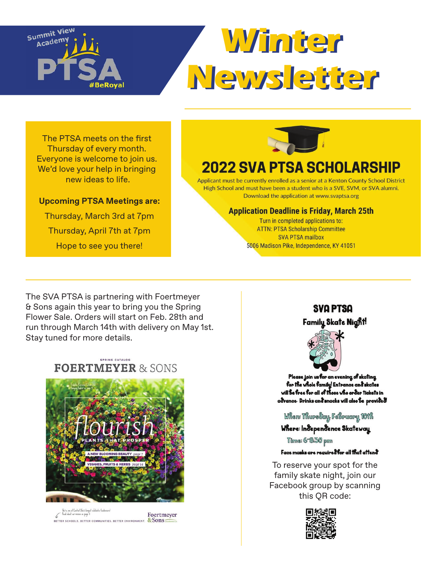

# **Winter Winter Newsletter Newsletter**

The PTSA meets on the first Thursday of every month. Everyone is welcome to join us. We'd love your help in bringing new ideas to life.

#### **Upcoming PTSA Meetings are:**

Thursday, March 3rd at 7pm Thursday, April 7th at 7pm Hope to see you there!



# **2022 SVA PTSA SCHOLARSHIP**

Applicant must be currently enrolled as a senior at a Kenton County School District High School and must have been a student who is a SVE, SVM, or SVA alumni. Download the application at www.svaptsa.org

#### **Application Deadline is Friday, March 25th**

Turn in completed applications to: **ATTN: PTSA Scholarship Committee SVA PTSA mailbox** 5006 Madison Pike, Independence, KY 41051

The SVA PTSA is partnering with Foertmeyer & Sons again this year to bring you the Spring Flower Sale. Orders will start on Feb. 28th and run through March 14th with delivery on May 1st. Stay tuned for more details.





.<br>Ma're am af Ceatral Obio's largest schalastic fundra.<br>Anad about our mission on page 3. Foertmeyer & Sons BETTER SCHOOLS, BETTER COMMUNITIES, BETTER ENVIRONMENT.

### **SVA PTSA** Family Skate Night!



Please join us for an evening of skating for the whole family! Entrance and skates will Be free for all of those who order tickets in advance. Drinks and snacks will also be provided!

#### When: ThursSay, FeBruary, 101K

#### Where: Independence Skateway

Time: 6-8:30 pm

#### Face masks are required for all that attend

To reserve your spot for the family skate night, join our Facebook group by scanning this QR code: